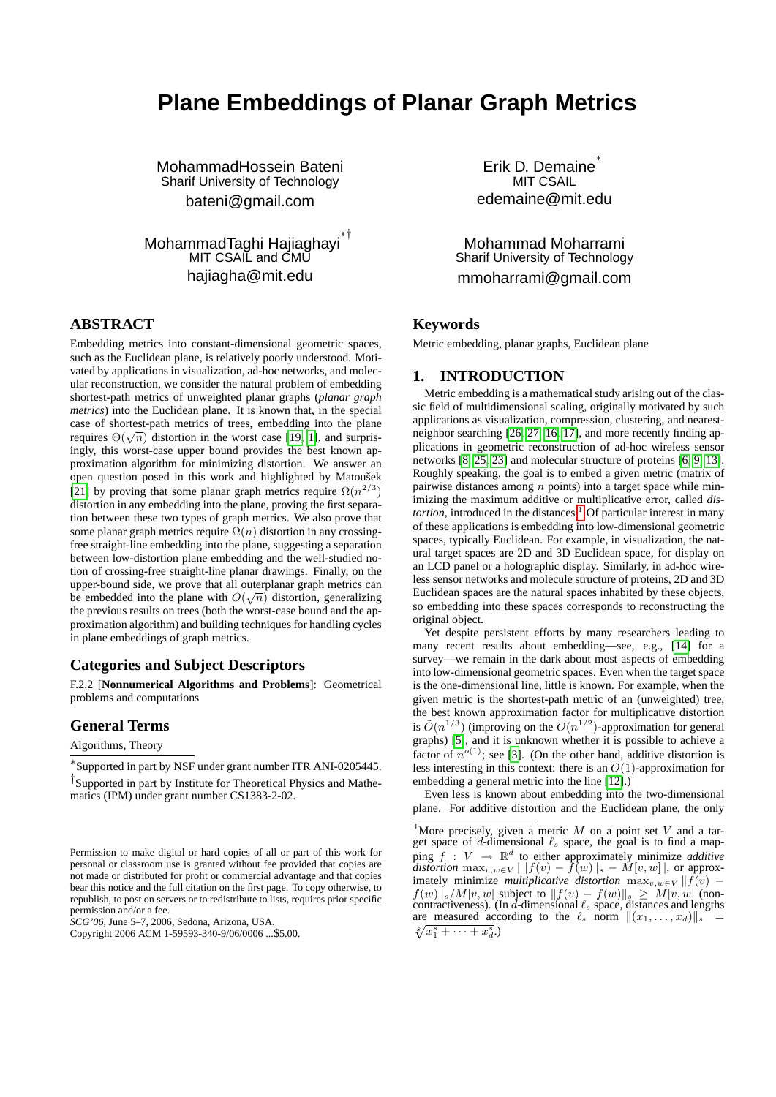# **Plane Embeddings of Planar Graph Metrics**

MohammadHossein Bateni Sharif University of Technology bateni@gmail.com

MohammadTaghi Hajiaghayi ∗† MIT CSAIL and CMU hajiagha@mit.edu

## **ABSTRACT**

Embedding metrics into constant-dimensional geometric spaces, such as the Euclidean plane, is relatively poorly understood. Motivated by applications in visualization, ad-hoc networks, and molecular reconstruction, we consider the natural problem of embedding shortest-path metrics of unweighted planar graphs (*planar graph metrics*) into the Euclidean plane. It is known that, in the special case of shortest-path metrics of trees, embedding into the plane case of shortest-pain metrics of trees, embedding into the plane<br>requires  $\Theta(\sqrt{n})$  distortion in the worst case [\[19,](#page-9-0) [1\]](#page-9-1), and surprisingly, this worst-case upper bound provides the best known approximation algorithm for minimizing distortion. We answer an open question posed in this work and highlighted by Matoušek [\[21\]](#page-9-2) by proving that some planar graph metrics require  $\Omega(n^{2/3})$ distortion in any embedding into the plane, proving the first separation between these two types of graph metrics. We also prove that some planar graph metrics require  $\Omega(n)$  distortion in any crossingfree straight-line embedding into the plane, suggesting a separation between low-distortion plane embedding and the well-studied notion of crossing-free straight-line planar drawings. Finally, on the upper-bound side, we prove that all outerplanar graph metrics can be embedded into the plane with  $O(\sqrt{n})$  distortion, generalizing the previous results on trees (both the worst-case bound and the approximation algorithm) and building techniques for handling cycles in plane embeddings of graph metrics.

### **Categories and Subject Descriptors**

F.2.2 [**Nonnumerical Algorithms and Problems**]: Geometrical problems and computations

## **General Terms**

Algorithms, Theory

∗ Supported in part by NSF under grant number ITR ANI-0205445.

† Supported in part by Institute for Theoretical Physics and Mathematics (IPM) under grant number CS1383-2-02.

*SCG'06,* June 5–7, 2006, Sedona, Arizona, USA.

Copyright 2006 ACM 1-59593-340-9/06/0006 ...\$5.00.

Erik D. Demaine<sup>\*</sup> MIT CSAIL edemaine@mit.edu

Mohammad Moharrami Sharif University of Technology mmoharrami@gmail.com

### **Keywords**

Metric embedding, planar graphs, Euclidean plane

## **1. INTRODUCTION**

Metric embedding is a mathematical study arising out of the classic field of multidimensional scaling, originally motivated by such applications as visualization, compression, clustering, and nearestneighbor searching [\[26,](#page-9-3) [27,](#page-9-4) [16,](#page-9-5) [17\]](#page-9-6), and more recently finding applications in geometric reconstruction of ad-hoc wireless sensor networks [\[8,](#page-9-7) [25,](#page-9-8) [23\]](#page-9-9) and molecular structure of proteins [\[6,](#page-9-10) [9,](#page-9-11) [13\]](#page-9-12). Roughly speaking, the goal is to embed a given metric (matrix of pairwise distances among  $n$  points) into a target space while minimizing the maximum additive or multiplicative error, called *distortion*, introduced in the distances.<sup>[1](#page-0-0)</sup> Of particular interest in many of these applications is embedding into low-dimensional geometric spaces, typically Euclidean. For example, in visualization, the natural target spaces are 2D and 3D Euclidean space, for display on an LCD panel or a holographic display. Similarly, in ad-hoc wireless sensor networks and molecule structure of proteins, 2D and 3D Euclidean spaces are the natural spaces inhabited by these objects, so embedding into these spaces corresponds to reconstructing the original object.

Yet despite persistent efforts by many researchers leading to many recent results about embedding—see, e.g., [\[14\]](#page-9-13) for a survey—we remain in the dark about most aspects of embedding into low-dimensional geometric spaces. Even when the target space is the one-dimensional line, little is known. For example, when the given metric is the shortest-path metric of an (unweighted) tree, the best known approximation factor for multiplicative distortion is  $\tilde{O}(n^{1/3})$  (improving on the  $O(n^{1/2})$ -approximation for general graphs) [\[5\]](#page-9-14), and it is unknown whether it is possible to achieve a factor of  $n^{o(1)}$ ; see [\[3\]](#page-9-15). (On the other hand, additive distortion is less interesting in this context: there is an  $O(1)$ -approximation for embedding a general metric into the line [\[12\]](#page-9-16).)

Even less is known about embedding into the two-dimensional plane. For additive distortion and the Euclidean plane, the only

Permission to make digital or hard copies of all or part of this work for personal or classroom use is granted without fee provided that copies are not made or distributed for profit or commercial advantage and that copies bear this notice and the full citation on the first page. To copy otherwise, to republish, to post on servers or to redistribute to lists, requires prior specific permission and/or a fee.

<span id="page-0-0"></span><sup>&</sup>lt;sup>1</sup>More precisely, given a metric  $M$  on a point set  $V$  and a target space of d-dimensional  $\ell_s$  space, the goal is to find a mapping  $f : V \to \mathbb{R}^d$  to either approximately minimize *additive*  $distortion \, \max_{v, w \in V} ||f(v) - \overline{f}(w)||_s - M[v, w]$ , or approximately minimize *multiplicative* distortion  $\max_{v,w\in V} || f(v)$  $f(w)\Vert_s/M[v, w]$  subject to  $||f(v) - f(w)||_s \geq M[v, w]$  (noncontractiveness). (In d-dimensional  $\ell_s$  space, distances and lengths are measured according to the  $\ell_s$  norm  $||(x_1, \ldots, x_d)||_s$  $\sqrt[s]{x_1^s + \cdots + x_d^s}$ .)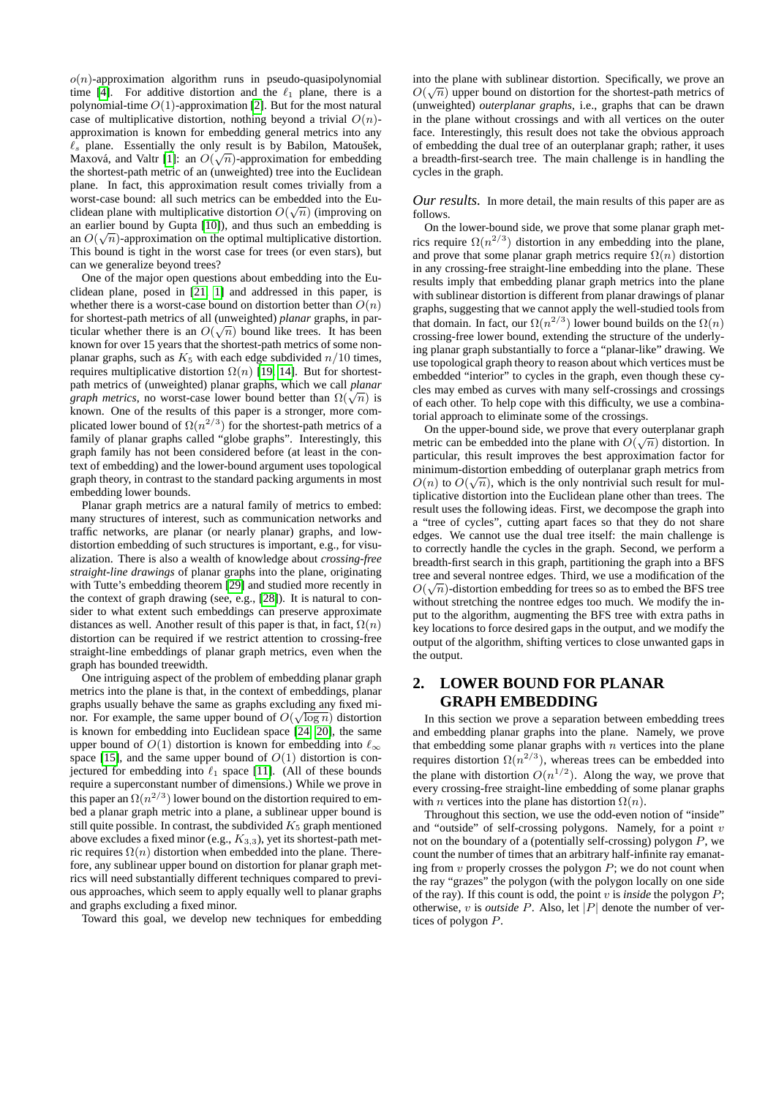$o(n)$ -approximation algorithm runs in pseudo-quasipolynomial time [\[4\]](#page-9-17). For additive distortion and the  $\ell_1$  plane, there is a polynomial-time  $O(1)$ -approximation [\[2\]](#page-9-18). But for the most natural case of multiplicative distortion, nothing beyond a trivial  $O(n)$ approximation is known for embedding general metrics into any  $\ell_s$  plane. Essentially the only result is by Babilon, Matoušek, Maxová, and Valtr [\[1\]](#page-9-1): an  $O(\sqrt{n})$ -approximation for embedding the shortest-path metric of an (unweighted) tree into the Euclidean plane. In fact, this approximation result comes trivially from a worst-case bound: all such metrics can be embedded into the Euclidean plane with multiplicative distortion  $O(\sqrt{n})$  (improving on an earlier bound by Gupta [\[10\]](#page-9-19)), and thus such an embedding is an  $O(\sqrt{n})$ -approximation on the optimal multiplicative distortion. This bound is tight in the worst case for trees (or even stars), but can we generalize beyond trees?

One of the major open questions about embedding into the Euclidean plane, posed in [\[21,](#page-9-2) [1\]](#page-9-1) and addressed in this paper, is whether there is a worst-case bound on distortion better than  $O(n)$ for shortest-path metrics of all (unweighted) *planar* graphs, in par-√ ticular whether there is an  $O(\sqrt{n})$  bound like trees. It has been known for over 15 years that the shortest-path metrics of some nonplanar graphs, such as  $K_5$  with each edge subdivided  $n/10$  times, requires multiplicative distortion  $\Omega(n)$  [\[19,](#page-9-0) [14\]](#page-9-13). But for shortestpath metrics of (unweighted) planar graphs, which we call *planar graph metrics*, no worst-case lower bound better than  $\Omega(\sqrt{n})$  is known. One of the results of this paper is a stronger, more complicated lower bound of  $\Omega(n^{2/3})$  for the shortest-path metrics of a family of planar graphs called "globe graphs". Interestingly, this graph family has not been considered before (at least in the context of embedding) and the lower-bound argument uses topological graph theory, in contrast to the standard packing arguments in most embedding lower bounds.

Planar graph metrics are a natural family of metrics to embed: many structures of interest, such as communication networks and traffic networks, are planar (or nearly planar) graphs, and lowdistortion embedding of such structures is important, e.g., for visualization. There is also a wealth of knowledge about *crossing-free straight-line drawings* of planar graphs into the plane, originating with Tutte's embedding theorem [\[29\]](#page-9-20) and studied more recently in the context of graph drawing (see, e.g., [\[28\]](#page-9-21)). It is natural to consider to what extent such embeddings can preserve approximate distances as well. Another result of this paper is that, in fact,  $\Omega(n)$ distortion can be required if we restrict attention to crossing-free straight-line embeddings of planar graph metrics, even when the graph has bounded treewidth.

One intriguing aspect of the problem of embedding planar graph metrics into the plane is that, in the context of embeddings, planar graphs usually behave the same as graphs excluding any fixed minor. For example, the same upper bound of  $O(\sqrt{\log n})$  distortion is known for embedding into Euclidean space [\[24,](#page-9-22) [20\]](#page-9-23), the same upper bound of  $O(1)$  distortion is known for embedding into  $\ell_{\infty}$ space [\[15\]](#page-9-24), and the same upper bound of  $O(1)$  distortion is conjectured for embedding into  $\ell_1$  space [\[11\]](#page-9-25). (All of these bounds require a superconstant number of dimensions.) While we prove in this paper an  $\Omega(n^{2/3})$  lower bound on the distortion required to embed a planar graph metric into a plane, a sublinear upper bound is still quite possible. In contrast, the subdivided  $K_5$  graph mentioned above excludes a fixed minor (e.g.,  $K_{3,3}$ ), yet its shortest-path metric requires  $\Omega(n)$  distortion when embedded into the plane. Therefore, any sublinear upper bound on distortion for planar graph metrics will need substantially different techniques compared to previous approaches, which seem to apply equally well to planar graphs and graphs excluding a fixed minor.

Toward this goal, we develop new techniques for embedding

into the plane with sublinear distortion. Specifically, we prove an  $\alpha$   $\alpha$  $O(\sqrt{n})$  upper bound on distortion for the shortest-path metrics of (unweighted) *outerplanar graphs*, i.e., graphs that can be drawn in the plane without crossings and with all vertices on the outer face. Interestingly, this result does not take the obvious approach of embedding the dual tree of an outerplanar graph; rather, it uses a breadth-first-search tree. The main challenge is in handling the cycles in the graph.

*Our results.* In more detail, the main results of this paper are as follows.

On the lower-bound side, we prove that some planar graph metrics require  $\Omega(n^{2/3})$  distortion in any embedding into the plane, and prove that some planar graph metrics require  $\Omega(n)$  distortion in any crossing-free straight-line embedding into the plane. These results imply that embedding planar graph metrics into the plane with sublinear distortion is different from planar drawings of planar graphs, suggesting that we cannot apply the well-studied tools from that domain. In fact, our  $\Omega(n^{2/3})$  lower bound builds on the  $\Omega(n)$ crossing-free lower bound, extending the structure of the underlying planar graph substantially to force a "planar-like" drawing. We use topological graph theory to reason about which vertices must be embedded "interior" to cycles in the graph, even though these cycles may embed as curves with many self-crossings and crossings of each other. To help cope with this difficulty, we use a combinatorial approach to eliminate some of the crossings.

On the upper-bound side, we prove that every outerplanar graph metric can be embedded into the plane with  $O(\sqrt{n})$  distortion. In particular, this result improves the best approximation factor for minimum-distortion embedding of outerplanar graph metrics from  $O(n)$  to  $O(\sqrt{n})$ , which is the only nontrivial such result for multiplicative distortion into the Euclidean plane other than trees. The result uses the following ideas. First, we decompose the graph into a "tree of cycles", cutting apart faces so that they do not share edges. We cannot use the dual tree itself: the main challenge is to correctly handle the cycles in the graph. Second, we perform a breadth-first search in this graph, partitioning the graph into a BFS tree and several nontree edges. Third, we use a modification of the  $\alpha$   $\overline{\phantom{a}}$  $O(\sqrt{n})$ -distortion embedding for trees so as to embed the BFS tree without stretching the nontree edges too much. We modify the input to the algorithm, augmenting the BFS tree with extra paths in key locations to force desired gaps in the output, and we modify the output of the algorithm, shifting vertices to close unwanted gaps in the output.

## **2. LOWER BOUND FOR PLANAR GRAPH EMBEDDING**

In this section we prove a separation between embedding trees and embedding planar graphs into the plane. Namely, we prove that embedding some planar graphs with  $n$  vertices into the plane requires distortion  $\Omega(n^{2/3})$ , whereas trees can be embedded into the plane with distortion  $O(n^{1/2})$ . Along the way, we prove that every crossing-free straight-line embedding of some planar graphs with *n* vertices into the plane has distortion  $\Omega(n)$ .

<span id="page-1-0"></span>Throughout this section, we use the odd-even notion of "inside" and "outside" of self-crossing polygons. Namely, for a point  $v$ not on the boundary of a (potentially self-crossing) polygon  $P$ , we count the number of times that an arbitrary half-infinite ray emanating from  $v$  properly crosses the polygon  $P$ ; we do not count when the ray "grazes" the polygon (with the polygon locally on one side of the ray). If this count is odd, the point v is *inside* the polygon P; otherwise, v is *outside* P. Also, let |P| denote the number of vertices of polygon P.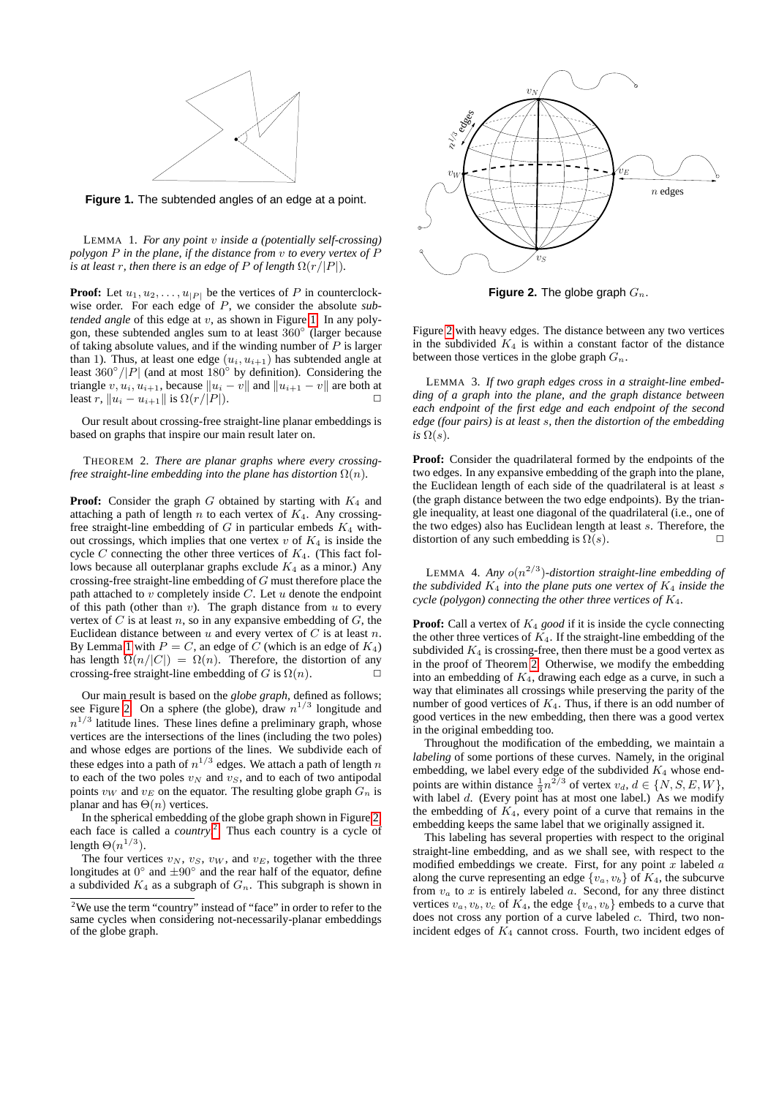

<span id="page-2-0"></span>**Figure 1.** The subtended angles of an edge at a point.

LEMMA 1. *For any point* v *inside a (potentially self-crossing) polygon* P *in the plane, if the distance from* v *to every vertex of* P *is at least r, then there is an edge of*  $P$  *of length*  $\Omega(r/|P|)$ *.* 

**Proof:** Let  $u_1, u_2, \ldots, u_{|P|}$  be the vertices of P in counterclockwise order. For each edge of P, we consider the absolute *subtended angle* of this edge at v, as shown in Figure [1.](#page-2-0) In any polygon, these subtended angles sum to at least 360◦ (larger because of taking absolute values, and if the winding number of  $P$  is larger than 1). Thus, at least one edge  $(u_i, u_{i+1})$  has subtended angle at least  $360^{\circ}/|P|$  (and at most  $180^{\circ}$  by definition). Considering the triangle  $v, u_i, u_{i+1}$ , because  $||u_i - v||$  and  $||u_{i+1} - v||$  are both at least  $r$ ,  $||u_i - u_{i+1}||$  is  $\Omega(r/|P|)$ .  $\Box$ 

Our result about crossing-free straight-line planar embeddings is based on graphs that inspire our main result later on.

<span id="page-2-3"></span>THEOREM 2. *There are planar graphs where every crossingfree straight-line embedding into the plane has distortion*  $\Omega(n)$ *.* 

**Proof:** Consider the graph G obtained by starting with  $K_4$  and attaching a path of length n to each vertex of  $K_4$ . Any crossingfree straight-line embedding of  $G$  in particular embeds  $K_4$  without crossings, which implies that one vertex  $v$  of  $K_4$  is inside the cycle C connecting the other three vertices of  $K_4$ . (This fact follows because all outerplanar graphs exclude  $K_4$  as a minor.) Any crossing-free straight-line embedding of G must therefore place the path attached to  $v$  completely inside  $C$ . Let  $u$  denote the endpoint of this path (other than  $v$ ). The graph distance from  $u$  to every vertex of  $C$  is at least  $n$ , so in any expansive embedding of  $G$ , the Euclidean distance between  $u$  and every vertex of  $C$  is at least  $n$ . By Lemma [1](#page-1-0) with  $P = C$ , an edge of C (which is an edge of  $K_4$ ) has length  $\Omega(n/|C|) = \Omega(n)$ . Therefore, the distortion of any crossing-free straight-line embedding of G is  $\Omega(n)$ .

Our main result is based on the *globe graph*, defined as follows; see Figure [2.](#page-2-1) On a sphere (the globe), draw  $n^{1/3}$  longitude and  $n^{1/3}$  latitude lines. These lines define a preliminary graph, whose vertices are the intersections of the lines (including the two poles) and whose edges are portions of the lines. We subdivide each of these edges into a path of  $n^{1/3}$  edges. We attach a path of length  $n$ to each of the two poles  $v_N$  and  $v_S$ , and to each of two antipodal points  $v_W$  and  $v_E$  on the equator. The resulting globe graph  $G_n$  is planar and has  $\Theta(n)$  vertices.

In the spherical embedding of the globe graph shown in Figure [2,](#page-2-1) each face is called a *country*. [2](#page-2-2) Thus each country is a cycle of length  $\Theta(n^{1/3})$ .

The four vertices  $v_N$ ,  $v_S$ ,  $v_W$ , and  $v_E$ , together with the three longitudes at  $0^{\circ}$  and  $\pm 90^{\circ}$  and the rear half of the equator, define a subdivided  $K_4$  as a subgraph of  $G_n$ . This subgraph is shown in



<span id="page-2-1"></span>**Figure 2.** The globe graph  $G_n$ .

Figure [2](#page-2-1) with heavy edges. The distance between any two vertices in the subdivided  $K_4$  is within a constant factor of the distance between those vertices in the globe graph  $G_n$ .

<span id="page-2-4"></span>LEMMA 3. *If two graph edges cross in a straight-line embedding of a graph into the plane, and the graph distance between each endpoint of the first edge and each endpoint of the second edge (four pairs) is at least* s*, then the distortion of the embedding is*  $\Omega(s)$ *.* 

**Proof:** Consider the quadrilateral formed by the endpoints of the two edges. In any expansive embedding of the graph into the plane, the Euclidean length of each side of the quadrilateral is at least  $s$ (the graph distance between the two edge endpoints). By the triangle inequality, at least one diagonal of the quadrilateral (i.e., one of the two edges) also has Euclidean length at least s. Therefore, the distortion of any such embedding is  $\Omega(s)$ .

LEMMA 4. Any  $o(n^{2/3})$ -distortion straight-line embedding of *the subdivided*  $K_4$  *into the plane puts one vertex of*  $K_4$  *inside the cycle (polygon) connecting the other three vertices of* K4*.*

**Proof:** Call a vertex of  $K_4$  *good* if it is inside the cycle connecting the other three vertices of  $K_4$ . If the straight-line embedding of the subdivided  $K_4$  is crossing-free, then there must be a good vertex as in the proof of Theorem [2.](#page-2-3) Otherwise, we modify the embedding into an embedding of  $K_4$ , drawing each edge as a curve, in such a way that eliminates all crossings while preserving the parity of the number of good vertices of  $K_4$ . Thus, if there is an odd number of good vertices in the new embedding, then there was a good vertex in the original embedding too.

Throughout the modification of the embedding, we maintain a *labeling* of some portions of these curves. Namely, in the original embedding, we label every edge of the subdivided  $K_4$  whose endpoints are within distance  $\frac{1}{3}n^{2/3}$  of vertex  $v_d$ ,  $d \in \{N, S, E, W\}$ , with label  $d$ . (Every point has at most one label.) As we modify the embedding of  $K_4$ , every point of a curve that remains in the embedding keeps the same label that we originally assigned it.

This labeling has several properties with respect to the original straight-line embedding, and as we shall see, with respect to the modified embeddings we create. First, for any point  $x$  labeled  $a$ along the curve representing an edge  $\{v_a, v_b\}$  of  $K_4$ , the subcurve from  $v_a$  to x is entirely labeled a. Second, for any three distinct vertices  $v_a, v_b, v_c$  of  $K_4$ , the edge  $\{v_a, v_b\}$  embeds to a curve that does not cross any portion of a curve labeled c. Third, two nonincident edges of  $K_4$  cannot cross. Fourth, two incident edges of

<span id="page-2-2"></span><sup>2</sup>We use the term "country" instead of "face" in order to refer to the same cycles when considering not-necessarily-planar embeddings of the globe graph.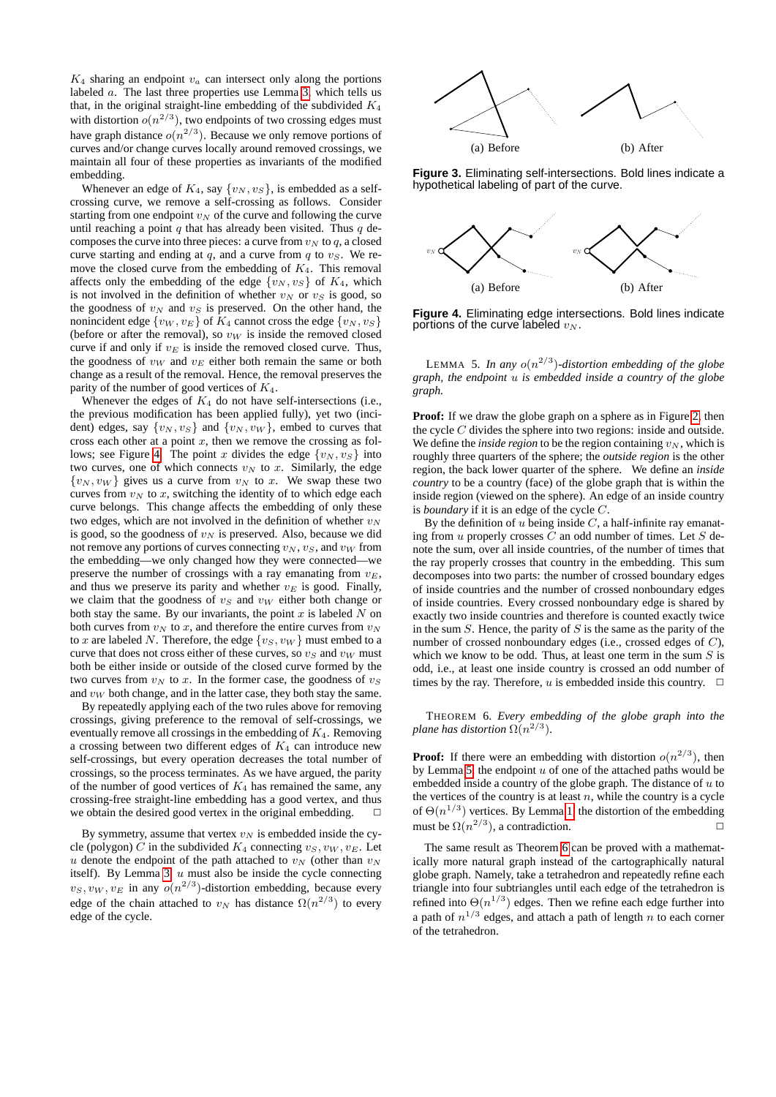$K_4$  sharing an endpoint  $v_a$  can intersect only along the portions labeled a. The last three properties use Lemma [3,](#page-2-4) which tells us that, in the original straight-line embedding of the subdivided  $K_4$ with distortion  $o(n^{2/3})$ , two endpoints of two crossing edges must have graph distance  $o(n^{2/3})$ . Because we only remove portions of curves and/or change curves locally around removed crossings, we maintain all four of these properties as invariants of the modified embedding.

Whenever an edge of  $K_4$ , say  $\{v_N, v_S\}$ , is embedded as a selfcrossing curve, we remove a self-crossing as follows. Consider starting from one endpoint  $v_N$  of the curve and following the curve until reaching a point  $q$  that has already been visited. Thus  $q$  decomposes the curve into three pieces: a curve from  $v_N$  to q, a closed curve starting and ending at  $q$ , and a curve from  $q$  to  $v<sub>S</sub>$ . We remove the closed curve from the embedding of  $K_4$ . This removal affects only the embedding of the edge  $\{v_N, v_S\}$  of  $K_4$ , which is not involved in the definition of whether  $v<sub>N</sub>$  or  $v<sub>S</sub>$  is good, so the goodness of  $v_N$  and  $v_S$  is preserved. On the other hand, the nonincident edge  $\{vw, v_E\}$  of  $K_4$  cannot cross the edge  $\{v_N, v_S\}$ (before or after the removal), so  $v_W$  is inside the removed closed curve if and only if  $v_E$  is inside the removed closed curve. Thus, the goodness of  $v_W$  and  $v_E$  either both remain the same or both change as a result of the removal. Hence, the removal preserves the parity of the number of good vertices of  $K_4$ .

Whenever the edges of  $K_4$  do not have self-intersections (i.e., the previous modification has been applied fully), yet two (incident) edges, say  $\{v_N, v_S\}$  and  $\{v_N, v_W\}$ , embed to curves that cross each other at a point  $x$ , then we remove the crossing as fol-lows; see Figure [4.](#page-3-0) The point x divides the edge  $\{v_N, v_S\}$  into two curves, one of which connects  $v<sub>N</sub>$  to x. Similarly, the edge  $\{v_N, v_W\}$  gives us a curve from  $v_N$  to x. We swap these two curves from  $v_N$  to x, switching the identity of to which edge each curve belongs. This change affects the embedding of only these two edges, which are not involved in the definition of whether  $v_N$ is good, so the goodness of  $v_N$  is preserved. Also, because we did not remove any portions of curves connecting  $v_N$ ,  $v_S$ , and  $v_W$  from the embedding—we only changed how they were connected—we preserve the number of crossings with a ray emanating from  $v_E$ , and thus we preserve its parity and whether  $v_E$  is good. Finally, we claim that the goodness of  $v<sub>S</sub>$  and  $v<sub>W</sub>$  either both change or both stay the same. By our invariants, the point  $x$  is labeled  $N$  on both curves from  $v_N$  to x, and therefore the entire curves from  $v_N$ to x are labeled N. Therefore, the edge  $\{v_s, v_W\}$  must embed to a curve that does not cross either of these curves, so  $v_S$  and  $v_W$  must both be either inside or outside of the closed curve formed by the two curves from  $v_N$  to x. In the former case, the goodness of  $v_S$ and  $v_W$  both change, and in the latter case, they both stay the same.

By repeatedly applying each of the two rules above for removing crossings, giving preference to the removal of self-crossings, we eventually remove all crossings in the embedding of  $K_4$ . Removing a crossing between two different edges of  $K_4$  can introduce new self-crossings, but every operation decreases the total number of crossings, so the process terminates. As we have argued, the parity of the number of good vertices of  $K_4$  has remained the same, any crossing-free straight-line embedding has a good vertex, and thus we obtain the desired good vertex in the original embedding.  $\Box$ 

<span id="page-3-1"></span>By symmetry, assume that vertex  $v_N$  is embedded inside the cycle (polygon) C in the subdivided  $K_4$  connecting  $v_S, v_W, v_E$ . Let u denote the endpoint of the path attached to  $v_N$  (other than  $v_N$ itself). By Lemma [3,](#page-2-4)  $u$  must also be inside the cycle connecting  $v_S, v_W, v_E$  in any  $o(n^{2/3})$ -distortion embedding, because every edge of the chain attached to  $v_N$  has distance  $\Omega(n^{2/3})$  to every edge of the cycle.



**Figure 3.** Eliminating self-intersections. Bold lines indicate a hypothetical labeling of part of the curve.



<span id="page-3-0"></span>**Figure 4.** Eliminating edge intersections. Bold lines indicate portions of the curve labeled  $v_N$ .

LEMMA 5. In any  $o(n^{2/3})$ -distortion embedding of the globe *graph, the endpoint* u *is embedded inside a country of the globe graph.*

**Proof:** If we draw the globe graph on a sphere as in Figure [2,](#page-2-1) then the cycle C divides the sphere into two regions: inside and outside. We define the *inside region* to be the region containing  $v_N$ , which is roughly three quarters of the sphere; the *outside region* is the other region, the back lower quarter of the sphere. We define an *inside country* to be a country (face) of the globe graph that is within the inside region (viewed on the sphere). An edge of an inside country is *boundary* if it is an edge of the cycle C.

By the definition of u being inside  $C$ , a half-infinite ray emanating from u properly crosses  $C$  an odd number of times. Let  $S$  denote the sum, over all inside countries, of the number of times that the ray properly crosses that country in the embedding. This sum decomposes into two parts: the number of crossed boundary edges of inside countries and the number of crossed nonboundary edges of inside countries. Every crossed nonboundary edge is shared by exactly two inside countries and therefore is counted exactly twice in the sum  $S$ . Hence, the parity of  $S$  is the same as the parity of the number of crossed nonboundary edges (i.e., crossed edges of C), which we know to be odd. Thus, at least one term in the sum  $S$  is odd, i.e., at least one inside country is crossed an odd number of times by the ray. Therefore, u is embedded inside this country.  $\Box$ 

<span id="page-3-2"></span>THEOREM 6. *Every embedding of the globe graph into the plane has distortion*  $\Omega(n^{2/3})$ *.* 

**Proof:** If there were an embedding with distortion  $o(n^{2/3})$ , then by Lemma [5,](#page-3-1) the endpoint  $u$  of one of the attached paths would be embedded inside a country of the globe graph. The distance of  $u$  to the vertices of the country is at least  $n$ , while the country is a cycle of  $\Theta(n^{1/3})$  vertices. By Lemma [1,](#page-1-0) the distortion of the embedding must be  $\Omega(n^{2/3})$ , a contradiction.

The same result as Theorem [6](#page-3-2) can be proved with a mathematically more natural graph instead of the cartographically natural globe graph. Namely, take a tetrahedron and repeatedly refine each triangle into four subtriangles until each edge of the tetrahedron is refined into  $\Theta(n^{1/3})$  edges. Then we refine each edge further into a path of  $n^{1/3}$  edges, and attach a path of length n to each corner of the tetrahedron.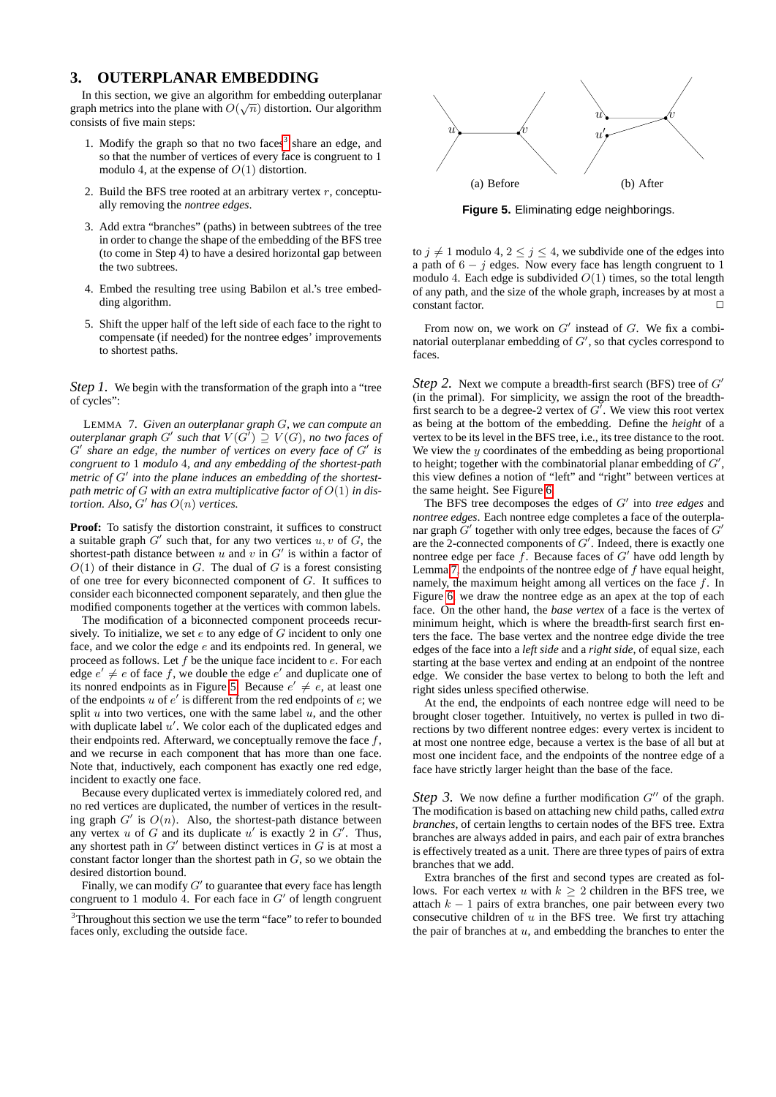## **3. OUTERPLANAR EMBEDDING**

In this section, we give an algorithm for embedding outerplanar graph metrics into the plane with  $O(\sqrt{n})$  distortion. Our algorithm consists of five main steps:

- 1. Modify the graph so that no two faces<sup>[3](#page-4-0)</sup> share an edge, and so that the number of vertices of every face is congruent to 1 modulo 4, at the expense of  $O(1)$  distortion.
- 2. Build the BFS tree rooted at an arbitrary vertex  $r$ , conceptually removing the *nontree edges*.
- 3. Add extra "branches" (paths) in between subtrees of the tree in order to change the shape of the embedding of the BFS tree (to come in Step 4) to have a desired horizontal gap between the two subtrees.
- 4. Embed the resulting tree using Babilon et al.'s tree embedding algorithm.
- 5. Shift the upper half of the left side of each face to the right to compensate (if needed) for the nontree edges' improvements to shortest paths.

*Step 1.* We begin with the transformation of the graph into a "tree" of cycles":

<span id="page-4-2"></span>LEMMA 7. *Given an outerplanar graph* G*, we can compute an*  $\omega$ *terplanar graph*  $G'$  such that  $V(G') \supseteq V(G)$ , no two faces of G' share an edge, the number of vertices on every face of G' is *congruent to* 1 *modulo* 4*, and any embedding of the shortest-path* metric of G' into the plane induces an embedding of the shortest*path metric of* G *with an extra multiplicative factor of* O(1) *in distortion. Also,*  $G'$  has  $O(n)$  *vertices.* 

**Proof:** To satisfy the distortion constraint, it suffices to construct a suitable graph  $G'$  such that, for any two vertices  $u, v$  of  $G$ , the shortest-path distance between  $u$  and  $v$  in  $G'$  is within a factor of  $O(1)$  of their distance in G. The dual of G is a forest consisting of one tree for every biconnected component of G. It suffices to consider each biconnected component separately, and then glue the modified components together at the vertices with common labels.

The modification of a biconnected component proceeds recursively. To initialize, we set  $e$  to any edge of  $G$  incident to only one face, and we color the edge  $e$  and its endpoints red. In general, we proceed as follows. Let  $f$  be the unique face incident to  $e$ . For each edge  $e' \neq e$  of face f, we double the edge  $e'$  and duplicate one of its nonred endpoints as in Figure [5.](#page-4-1) Because  $e' \neq e$ , at least one of the endpoints  $u$  of  $e'$  is different from the red endpoints of  $e$ ; we split  $u$  into two vertices, one with the same label  $u$ , and the other with duplicate label  $u'$ . We color each of the duplicated edges and their endpoints red. Afterward, we conceptually remove the face  $f$ , and we recurse in each component that has more than one face. Note that, inductively, each component has exactly one red edge, incident to exactly one face.

Because every duplicated vertex is immediately colored red, and no red vertices are duplicated, the number of vertices in the resulting graph  $G'$  is  $O(n)$ . Also, the shortest-path distance between any vertex  $u$  of  $G$  and its duplicate  $u'$  is exactly 2 in  $G'$ . Thus, any shortest path in  $G'$  between distinct vertices in  $G$  is at most a constant factor longer than the shortest path in  $G$ , so we obtain the desired distortion bound.

Finally, we can modify  $G'$  to guarantee that every face has length congruent to 1 modulo 4. For each face in  $G'$  of length congruent



<span id="page-4-1"></span>**Figure 5.** Eliminating edge neighborings.

to  $j \neq 1$  modulo 4,  $2 \leq j \leq 4$ , we subdivide one of the edges into a path of  $6 - i$  edges. Now every face has length congruent to 1 modulo 4. Each edge is subdivided  $O(1)$  times, so the total length of any path, and the size of the whole graph, increases by at most a constant factor.

From now on, we work on  $G'$  instead of  $G$ . We fix a combinatorial outerplanar embedding of  $G'$ , so that cycles correspond to faces.

*Step 2.* Next we compute a breadth-first search (BFS) tree of  $G'$ (in the primal). For simplicity, we assign the root of the breadthfirst search to be a degree-2 vertex of  $G<sup>T</sup>$ . We view this root vertex as being at the bottom of the embedding. Define the *height* of a vertex to be its level in the BFS tree, i.e., its tree distance to the root. We view the  $\gamma$  coordinates of the embedding as being proportional to height; together with the combinatorial planar embedding of  $G'$ , this view defines a notion of "left" and "right" between vertices at the same height. See Figure [6.](#page-5-0)

The BFS tree decomposes the edges of G' into *tree edges* and *nontree edges*. Each nontree edge completes a face of the outerplanar graph  $G'$  together with only tree edges, because the faces of  $G'$ are the 2-connected components of  $G'$ . Indeed, there is exactly one nontree edge per face  $f$ . Because faces of  $G'$  have odd length by Lemma [7,](#page-4-2) the endpoints of the nontree edge of  $f$  have equal height, namely, the maximum height among all vertices on the face  $f$ . In Figure [6,](#page-5-0) we draw the nontree edge as an apex at the top of each face. On the other hand, the *base vertex* of a face is the vertex of minimum height, which is where the breadth-first search first enters the face. The base vertex and the nontree edge divide the tree edges of the face into a *left side* and a *right side*, of equal size, each starting at the base vertex and ending at an endpoint of the nontree edge. We consider the base vertex to belong to both the left and right sides unless specified otherwise.

At the end, the endpoints of each nontree edge will need to be brought closer together. Intuitively, no vertex is pulled in two directions by two different nontree edges: every vertex is incident to at most one nontree edge, because a vertex is the base of all but at most one incident face, and the endpoints of the nontree edge of a face have strictly larger height than the base of the face.

*Step 3.* We now define a further modification  $G''$  of the graph. The modification is based on attaching new child paths, called *extra branches*, of certain lengths to certain nodes of the BFS tree. Extra branches are always added in pairs, and each pair of extra branches is effectively treated as a unit. There are three types of pairs of extra branches that we add.

Extra branches of the first and second types are created as follows. For each vertex u with  $k \geq 2$  children in the BFS tree, we attach  $k - 1$  pairs of extra branches, one pair between every two consecutive children of  $u$  in the BFS tree. We first try attaching the pair of branches at  $u$ , and embedding the branches to enter the

<span id="page-4-0"></span><sup>&</sup>lt;sup>3</sup>Throughout this section we use the term "face" to refer to bounded faces only, excluding the outside face.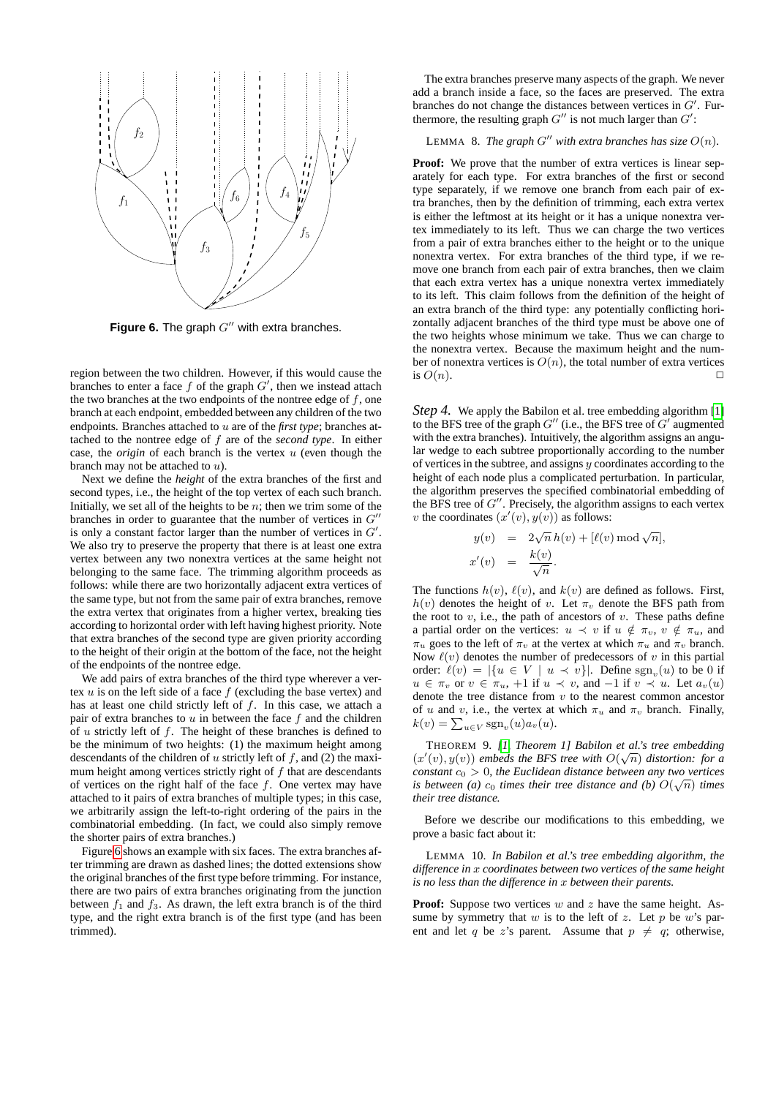

<span id="page-5-0"></span>**Figure 6.** The graph  $G''$  with extra branches.

region between the two children. However, if this would cause the branches to enter a face  $f$  of the graph  $G'$ , then we instead attach the two branches at the two endpoints of the nontree edge of  $f$ , one branch at each endpoint, embedded between any children of the two endpoints. Branches attached to u are of the *first type*; branches attached to the nontree edge of f are of the *second type*. In either case, the *origin* of each branch is the vertex  $u$  (even though the branch may not be attached to  $u$ ).

Next we define the *height* of the extra branches of the first and second types, i.e., the height of the top vertex of each such branch. Initially, we set all of the heights to be  $n$ ; then we trim some of the branches in order to guarantee that the number of vertices in  $G''$ is only a constant factor larger than the number of vertices in  $G'$ . We also try to preserve the property that there is at least one extra vertex between any two nonextra vertices at the same height not belonging to the same face. The trimming algorithm proceeds as follows: while there are two horizontally adjacent extra vertices of the same type, but not from the same pair of extra branches, remove the extra vertex that originates from a higher vertex, breaking ties according to horizontal order with left having highest priority. Note that extra branches of the second type are given priority according to the height of their origin at the bottom of the face, not the height of the endpoints of the nontree edge.

We add pairs of extra branches of the third type wherever a vertex  $u$  is on the left side of a face  $f$  (excluding the base vertex) and has at least one child strictly left of  $f$ . In this case, we attach a pair of extra branches to  $u$  in between the face  $f$  and the children of  $u$  strictly left of  $f$ . The height of these branches is defined to be the minimum of two heights: (1) the maximum height among descendants of the children of u strictly left of  $f$ , and (2) the maximum height among vertices strictly right of  $f$  that are descendants of vertices on the right half of the face  $f$ . One vertex may have attached to it pairs of extra branches of multiple types; in this case, we arbitrarily assign the left-to-right ordering of the pairs in the combinatorial embedding. (In fact, we could also simply remove the shorter pairs of extra branches.)

Figure [6](#page-5-0) shows an example with six faces. The extra branches after trimming are drawn as dashed lines; the dotted extensions show the original branches of the first type before trimming. For instance, there are two pairs of extra branches originating from the junction between  $f_1$  and  $f_3$ . As drawn, the left extra branch is of the third type, and the right extra branch is of the first type (and has been trimmed).

The extra branches preserve many aspects of the graph. We never add a branch inside a face, so the faces are preserved. The extra branches do not change the distances between vertices in  $G'$ . Furthermore, the resulting graph  $G''$  is not much larger than  $G'$ :

#### LEMMA 8. The graph  $G''$  with extra branches has size  $O(n)$ .

**Proof:** We prove that the number of extra vertices is linear separately for each type. For extra branches of the first or second type separately, if we remove one branch from each pair of extra branches, then by the definition of trimming, each extra vertex is either the leftmost at its height or it has a unique nonextra vertex immediately to its left. Thus we can charge the two vertices from a pair of extra branches either to the height or to the unique nonextra vertex. For extra branches of the third type, if we remove one branch from each pair of extra branches, then we claim that each extra vertex has a unique nonextra vertex immediately to its left. This claim follows from the definition of the height of an extra branch of the third type: any potentially conflicting horizontally adjacent branches of the third type must be above one of the two heights whose minimum we take. Thus we can charge to the nonextra vertex. Because the maximum height and the number of nonextra vertices is  $O(n)$ , the total number of extra vertices is  $O(n)$ .

*Step 4.* We apply the Babilon et al. tree embedding algorithm [\[1\]](#page-9-1) to the BFS tree of the graph  $G''$  (i.e., the BFS tree of  $G'$  augmented with the extra branches). Intuitively, the algorithm assigns an angular wedge to each subtree proportionally according to the number of vertices in the subtree, and assigns y coordinates according to the height of each node plus a complicated perturbation. In particular, the algorithm preserves the specified combinatorial embedding of the BFS tree of  $G''$ . Precisely, the algorithm assigns to each vertex v the coordinates  $(x'(v), y(v))$  as follows:

$$
y(v) = 2\sqrt{n} h(v) + [\ell(v) \bmod \sqrt{n}],
$$
  

$$
x'(v) = \frac{k(v)}{\sqrt{n}}.
$$

The functions  $h(v)$ ,  $\ell(v)$ , and  $k(v)$  are defined as follows. First,  $h(v)$  denotes the height of v. Let  $\pi_v$  denote the BFS path from the root to  $v$ , i.e., the path of ancestors of  $v$ . These paths define a partial order on the vertices:  $u \prec v$  if  $u \notin \pi_v$ ,  $v \notin \pi_u$ , and  $\pi_u$  goes to the left of  $\pi_v$  at the vertex at which  $\pi_u$  and  $\pi_v$  branch. Now  $\ell(v)$  denotes the number of predecessors of v in this partial order:  $\ell(v) = |\{u \in V \mid u \prec v\}|$ . Define  $sgn_v(u)$  to be 0 if  $u \in \pi_v$  or  $v \in \pi_u$ , +1 if  $u \prec v$ , and -1 if  $v \prec u$ . Let  $a_v(u)$ denote the tree distance from  $v$  to the nearest common ancestor of u and v, i.e., the vertex at which  $\pi_u$  and  $\pi_v$  branch. Finally,  $k(v) = \sum_{u \in V} \text{sgn}_v(u) a_v(u).$ 

<span id="page-5-2"></span>THEOREM 9. *[\[1,](#page-9-1) Theorem 1] Babilon et al.'s tree embedding* √  $(x'(v), y(v))$  embeds the BFS tree with  $O(\sqrt{n})$  distortion: for a *constant*  $c_0 > 0$ , the Euclidean distance between any two vertices *is between (a)*  $c_0$  *times their tree distance and (b)*  $O(\sqrt{n})$  *times their tree distance.*

Before we describe our modifications to this embedding, we prove a basic fact about it:

<span id="page-5-1"></span>LEMMA 10. *In Babilon et al.'s tree embedding algorithm, the difference in* x *coordinates between two vertices of the same height is no less than the difference in* x *between their parents.*

**Proof:** Suppose two vertices w and z have the same height. Assume by symmetry that  $w$  is to the left of  $z$ . Let  $p$  be  $w$ 's parent and let q be z's parent. Assume that  $p \neq q$ ; otherwise,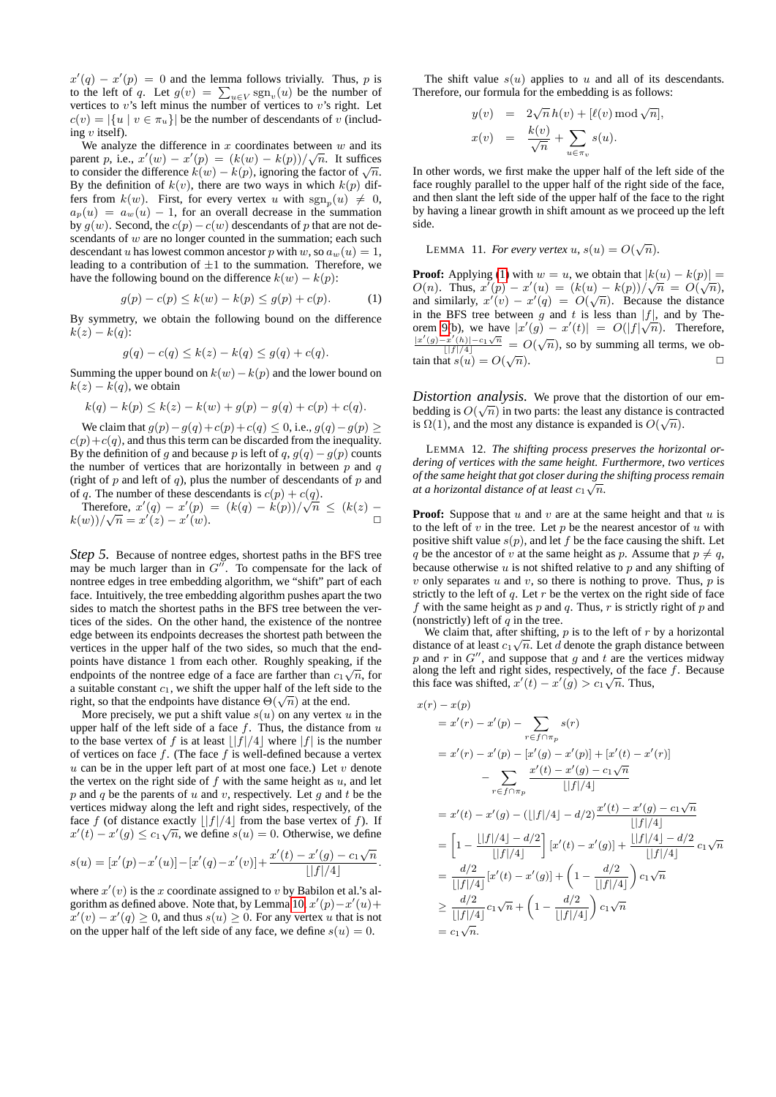$x'(q) - x'(p) = 0$  and the lemma follows trivially. Thus, p is to the left of q. Let  $g(v) = \sum_{u \in V} sgn_v(u)$  be the number of vertices to v's left minus the number of vertices to v's right. Let  $c(v) = |\{u \mid v \in \pi_u\}|$  be the number of descendants of v (including  $v$  itself).

We analyze the difference in x coordinates between w and its parent p, i.e.,  $x'(w) - x'(p) = (k(w) - k(p))/\sqrt{n}$ . It suffices parent p, i.e.,  $x(w) - x(p) = (\kappa(w) - \kappa(p))/\sqrt{n}$ . It sumests to consider the difference  $k(w) - k(p)$ , ignoring the factor of  $\sqrt{n}$ . By the definition of  $k(v)$ , there are two ways in which  $k(p)$  differs from  $k(w)$ . First, for every vertex u with  $sgn_p(u) \neq 0$ ,  $a_n(u) = a_m(u) - 1$ , for an overall decrease in the summation by  $g(w)$ . Second, the  $c(p) - c(w)$  descendants of p that are not descendants of  $w$  are no longer counted in the summation; each such descendant u has lowest common ancestor p with w, so  $a_w(u) = 1$ , leading to a contribution of  $\pm 1$  to the summation. Therefore, we have the following bound on the difference  $k(w) - k(p)$ :

$$
g(p) - c(p) \le k(w) - k(p) \le g(p) + c(p). \tag{1}
$$

By symmetry, we obtain the following bound on the difference  $k(z) - k(q)$ :

$$
g(q) - c(q) \le k(z) - k(q) \le g(q) + c(q).
$$

Summing the upper bound on  $k(w) - k(p)$  and the lower bound on  $k(z) - k(q)$ , we obtain

$$
k(q) - k(p) \le k(z) - k(w) + g(p) - g(q) + c(p) + c(q).
$$

We claim that  $g(p) - g(q) + c(p) + c(q) \le 0$ , i.e.,  $g(q) - g(p) \ge 0$  $c(p)+c(q)$ , and thus this term can be discarded from the inequality. By the definition of q and because p is left of q,  $q(q) - q(p)$  counts the number of vertices that are horizontally in between  $p$  and  $q$ (right of  $p$  and left of  $q$ ), plus the number of descendants of  $p$  and of q. The number of these descendants is  $c(p) + c(q)$ .

Therefore, 
$$
x'(q) - x'(p) = (k(q) - \tilde{k}(p))/\sqrt{n} \le (k(z) - k(w))/\sqrt{n} = x'(z) - x'(w)
$$
.

*Step 5.* Because of nontree edges, shortest paths in the BFS tree may be much larger than in  $G^{\prime\prime}$ . To compensate for the lack of nontree edges in tree embedding algorithm, we "shift" part of each face. Intuitively, the tree embedding algorithm pushes apart the two sides to match the shortest paths in the BFS tree between the vertices of the sides. On the other hand, the existence of the nontree edge between its endpoints decreases the shortest path between the vertices in the upper half of the two sides, so much that the endpoints have distance 1 from each other. Roughly speaking, if the endpoints of the nontree edge of a face are farther than  $c_1\sqrt{n}$ , for a suitable constant  $c_1$ , we shift the upper half of the left side to the a suitable constant  $c_1$ , we shift the upper half of the left side<br>right, so that the endpoints have distance  $\Theta(\sqrt{n})$  at the end.

More precisely, we put a shift value  $s(u)$  on any vertex u in the upper half of the left side of a face  $f$ . Thus, the distance from  $u$ to the base vertex of f is at least  $||f|/4$  where  $|f|$  is the number of vertices on face  $f$ . (The face  $f$  is well-defined because a vertex u can be in the upper left part of at most one face.) Let  $v$  denote the vertex on the right side of  $f$  with the same height as  $u$ , and let  $p$  and  $q$  be the parents of  $u$  and  $v$ , respectively. Let  $q$  and  $t$  be the vertices midway along the left and right sides, respectively, of the face f (of distance exactly  $\lfloor |f|/4 \rfloor$  from the base vertex of f). If  $x'(t) - x'(g) \leq c_1 \sqrt{n}$ , we define  $s(u) = 0$ . Otherwise, we define

$$
s(u) = [x'(p) - x'(u)] - [x'(q) - x'(v)] + \frac{x'(t) - x'(g) - c_1\sqrt{n}}{\lfloor |f|/4 \rfloor}.
$$

where  $x'(v)$  is the x coordinate assigned to v by Babilon et al.'s al-gorithm as defined above. Note that, by Lemma [10,](#page-5-1)  $x'(p) - x'(u) +$  $x'(v) - x'(q) \ge 0$ , and thus  $s(u) \ge 0$ . For any vertex u that is not on the upper half of the left side of any face, we define  $s(u) = 0$ .

The shift value  $s(u)$  applies to u and all of its descendants. Therefore, our formula for the embedding is as follows:

$$
y(v) = 2\sqrt{n} h(v) + [\ell(v) \mod \sqrt{n}],
$$
  

$$
x(v) = \frac{k(v)}{\sqrt{n}} + \sum_{u \in \pi_v} s(u).
$$

In other words, we first make the upper half of the left side of the face roughly parallel to the upper half of the right side of the face, and then slant the left side of the upper half of the face to the right by having a linear growth in shift amount as we proceed up the left side.

## <span id="page-6-2"></span>LEMMA 11. *For every vertex*  $u$ ,  $s(u) = O(\sqrt{n})$ .

<span id="page-6-0"></span>**Proof:** Applying [\(1\)](#page-6-0) with  $w = u$ , we obtain that  $|k(u) - k(p)| =$  $O(n)$ . Thus,  $x'(p) - x'(u) = (k(u) - k(p))/\sqrt{n} = O(\sqrt{n}),$  $O(n)$ . Thus,  $x(p) - x(q) = (\kappa(u) - \kappa(p))/\sqrt{n} = O(\sqrt{n})$ ,<br>and similarly,  $x'(v) - x'(q) = O(\sqrt{n})$ . Because the distance in the BFS tree between g and t is less than  $|f|$ , and by The-orem [9\(](#page-5-2)b), we have  $|x'(g) - x'(t)| = O(|f|\sqrt{n})$ . Therefore,  $\frac{|x'(g)-x'(h)|-c_1\sqrt{n}}{|f|/4} = O(\sqrt{n})$ , so by summing all terms, we obtain that  $s(u) = O(\sqrt{n}).$  $\overline{n}$ ).

*Distortion analysis.* We prove that the distortion of our embedding is  $O(\sqrt{n})$  in two parts: the least any distance is contracted is  $\Omega(1)$ , and the most any distance is expanded is  $O(\sqrt{n})$ .

<span id="page-6-1"></span>LEMMA 12. *The shifting process preserves the horizontal ordering of vertices with the same height. Furthermore, two vertices of the same height that got closer during the shifting process remain* √ at a horizontal distance of at least  $c_1\sqrt{n}$ .

**Proof:** Suppose that  $u$  and  $v$  are at the same height and that  $u$  is to the left of  $v$  in the tree. Let  $p$  be the nearest ancestor of  $u$  with positive shift value  $s(p)$ , and let f be the face causing the shift. Let q be the ancestor of v at the same height as p. Assume that  $p \neq q$ , because otherwise  $u$  is not shifted relative to  $p$  and any shifting of v only separates u and v, so there is nothing to prove. Thus,  $p$  is strictly to the left of  $q$ . Let  $r$  be the vertex on the right side of face f with the same height as p and q. Thus, r is strictly right of p and (nonstrictly) left of  $q$  in the tree.

We claim that, after shifting,  $p$  is to the left of  $r$  by a horizontal distance of at least  $c_1\sqrt{n}$ . Let d denote the graph distance between p and r in  $G''$ , and suppose that g and t are the vertices midway along the left and right sides, respectively, of the face f. Because this face was shifted,  $x'(t) - x'(g) > c_1 \sqrt{n}$ . Thus,

$$
x(r) - x(p)
$$
  
=  $x'(r) - x'(p) - \sum_{r \in f \cap \pi_p} s(r)$   
=  $x'(r) - x'(p) - [x'(g) - x'(p)] + [x'(t) - x'(r)]$   
 $- \sum_{r \in f \cap \pi_p} \frac{x'(t) - x'(g) - c_1\sqrt{n}}{||f||/4|}$   
=  $x'(t) - x'(g) - (||f||/4| - d/2) \frac{x'(t) - x'(g) - c_1\sqrt{n}}{||f||/4|}$   
=  $\left[1 - \frac{||f||/4| - d/2}{||f||/4|}\right] [x'(t) - x'(g)] + \frac{||f||/4| - d/2}{||f||/4|} c_1\sqrt{n}$   
=  $\frac{d/2}{||f||/4|} [x'(t) - x'(g)] + \left(1 - \frac{d/2}{||f||/4|}\right) c_1\sqrt{n}$   
 $\geq \frac{d/2}{||f||/4|} c_1\sqrt{n} + \left(1 - \frac{d/2}{||f||/4|}\right) c_1\sqrt{n}$   
=  $c_1\sqrt{n}$ .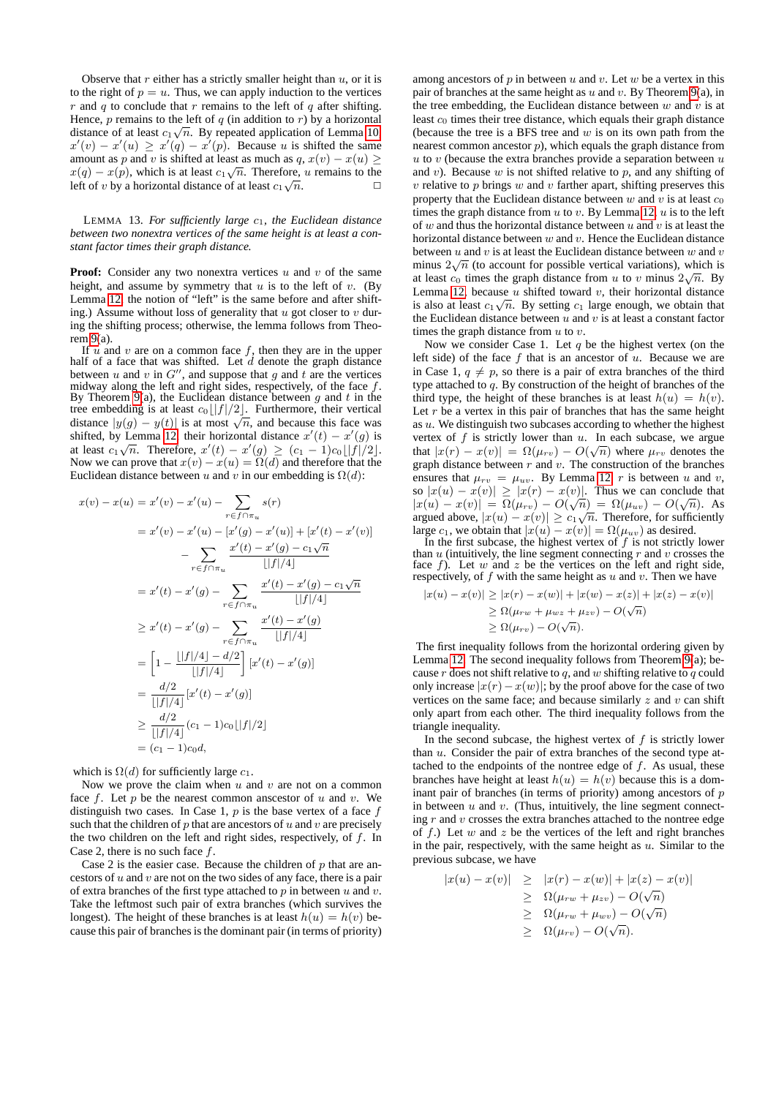Observe that  $r$  either has a strictly smaller height than  $u$ , or it is to the right of  $p = u$ . Thus, we can apply induction to the vertices r and q to conclude that r remains to the left of q after shifting. Hence, p remains to the left of q (in addition to r) by a horizontal distance of at least  $c_1\sqrt{n}$ . By repeated application of Lemma [10,](#page-5-1)  $x'(v) - x'(u) \ge x'(q) - x'(p)$ . Because u is shifted the same amount as p and v is shifted at least as much as  $q, x(v) - x(u) \ge$  $x(q) - x(p)$ , which is at least  $c_1 \sqrt{n}$ . Therefore, u remains to the left of v by a horizontal distance of at least  $c_1\sqrt{n}$ .

<span id="page-7-0"></span>LEMMA 13. For sufficiently large  $c_1$ , the Euclidean distance *between two nonextra vertices of the same height is at least a constant factor times their graph distance.*

**Proof:** Consider any two nonextra vertices  $u$  and  $v$  of the same height, and assume by symmetry that  $u$  is to the left of  $v$ . (By Lemma [12,](#page-6-1) the notion of "left" is the same before and after shifting.) Assume without loss of generality that  $u$  got closer to  $v$  during the shifting process; otherwise, the lemma follows from Theorem [9\(](#page-5-2)a).

If  $u$  and  $v$  are on a common face  $f$ , then they are in the upper half of a face that was shifted. Let  $d$  denote the graph distance between  $u$  and  $v$  in  $G''$ , and suppose that  $g$  and  $t$  are the vertices midway along the left and right sides, respectively, of the face  $f$ . By Theorem [9\(](#page-5-2)a), the Euclidean distance between  $g$  and  $t$  in the tree embedding is at least  $c_0\lfloor|f|/2\rfloor$ . Furthermore, their vertical distance  $|y(g) - y(t)|$  is at most  $\sqrt{n}$ , and because this face was shifted, by Lemma [12,](#page-6-1) their horizontal distance  $x'(t) - x'(g)$  is at least  $c_1\sqrt{n}$ . Therefore,  $x'(t) - x'(g) \ge (c_1 - 1)c_0\lfloor |f|/2 \rfloor$ . Now we can prove that  $x(v) - x(u) = \Omega(d)$  and therefore that the Euclidean distance between u and v in our embedding is  $\Omega(d)$ :

$$
x(v) - x(u) = x'(v) - x'(u) - \sum_{r \in f \cap \pi_u} s(r)
$$
  
\n
$$
= x'(v) - x'(u) - [x'(g) - x'(u)] + [x'(t) - x'(v)]
$$
  
\n
$$
- \sum_{r \in f \cap \pi_u} \frac{x'(t) - x'(g) - c_1\sqrt{n}}{| |f| / |g|}
$$
  
\n
$$
= x'(t) - x'(g) - \sum_{r \in f \cap \pi_u} \frac{x'(t) - x'(g) - c_1\sqrt{n}}{| |f| / |g|}
$$
  
\n
$$
\geq x'(t) - x'(g) - \sum_{r \in f \cap \pi_u} \frac{x'(t) - x'(g)}{| |f| / |g|}
$$
  
\n
$$
= \left[1 - \frac{| |f| / |g| - |g|}{| |f| / |g|} \right] [x'(t) - x'(g)]
$$
  
\n
$$
= \frac{d/2}{| |f| / |g|} [x'(t) - x'(g)]
$$
  
\n
$$
\geq \frac{d/2}{| |f| / |g|} (c_1 - 1) c_0 | |f| / 2]
$$
  
\n
$$
= (c_1 - 1) c_0 d,
$$

which is  $\Omega(d)$  for sufficiently large  $c_1$ .

Now we prove the claim when  $u$  and  $v$  are not on a common face f. Let  $p$  be the nearest common anscestor of  $u$  and  $v$ . We distinguish two cases. In Case 1,  $p$  is the base vertex of a face  $f$ such that the children of  $p$  that are ancestors of  $u$  and  $v$  are precisely the two children on the left and right sides, respectively, of  $f$ . In Case 2, there is no such face  $f$ .

Case 2 is the easier case. Because the children of  $p$  that are ancestors of  $u$  and  $v$  are not on the two sides of any face, there is a pair of extra branches of the first type attached to  $p$  in between  $u$  and  $v$ . Take the leftmost such pair of extra branches (which survives the longest). The height of these branches is at least  $h(u) = h(v)$  because this pair of branches is the dominant pair (in terms of priority)

among ancestors of  $p$  in between  $u$  and  $v$ . Let  $w$  be a vertex in this pair of branches at the same height as  $u$  and  $v$ . By Theorem [9\(](#page-5-2)a), in the tree embedding, the Euclidean distance between  $w$  and  $v$  is at least  $c_0$  times their tree distance, which equals their graph distance (because the tree is a BFS tree and  $w$  is on its own path from the nearest common ancestor  $p$ ), which equals the graph distance from  $u$  to  $v$  (because the extra branches provide a separation between  $u$ and v). Because  $w$  is not shifted relative to  $p$ , and any shifting of  $v$  relative to  $p$  brings  $w$  and  $v$  farther apart, shifting preserves this property that the Euclidean distance between  $w$  and  $v$  is at least  $c_0$ times the graph distance from  $u$  to  $v$ . By Lemma [12,](#page-6-1)  $u$  is to the left of  $w$  and thus the horizontal distance between  $u$  and  $v$  is at least the horizontal distance between  $w$  and  $v$ . Hence the Euclidean distance between u and v is at least the Euclidean distance between w and v minus  $2\sqrt{n}$  (to account for possible vertical variations), which is at least  $c_0$  times the graph distance from u to v minus  $2\sqrt{n}$ . By Lemma [12,](#page-6-1) because u shifted toward v, their horizontal distance is also at least  $c_1\sqrt{n}$ . By setting  $c_1$  large enough, we obtain that the Euclidean distance between  $u$  and  $v$  is at least a constant factor times the graph distance from  $u$  to  $v$ .

Now we consider Case 1. Let  $q$  be the highest vertex (on the left side) of the face  $f$  that is an ancestor of  $u$ . Because we are in Case 1,  $q \neq p$ , so there is a pair of extra branches of the third type attached to q. By construction of the height of branches of the third type, the height of these branches is at least  $h(u) = h(v)$ . Let  $r$  be a vertex in this pair of branches that has the same height as  $u$ . We distinguish two subcases according to whether the highest vertex of f is strictly lower than u. In each subcase, we argue that  $|x(r) - x(v)| = \Omega(\mu_{rv}) - O(\sqrt{n})$  where  $\mu_{rv}$  denotes the graph distance between  $r$  and  $v$ . The construction of the branches ensures that  $\mu_{rv} = \mu_{uv}$ . By Lemma [12,](#page-6-1) r is between u and v, so  $|x(u) - x(v)| \ge |x(r) - x(v)|$ . Thus we can conclude that  $|x(u) - x(v)| = \Omega(\mu_{rv}) - O(\sqrt{n}) = \Omega(\mu_{uv}) - O(\sqrt{n}).$  As argued above,  $|x(u) - x(v)| \geq c_1 \sqrt{n}$ . Therefore, for sufficiently large  $c_1$ , we obtain that  $|x(u) - x(v)| = \Omega(\mu_{uv})$  as desired.

In the first subcase, the highest vertex of  $f$  is not strictly lower than  $u$  (intuitively, the line segment connecting  $r$  and  $v$  crosses the face  $f$ ). Let  $w$  and  $z$  be the vertices on the left and right side, respectively, of  $f$  with the same height as  $u$  and  $v$ . Then we have

$$
|x(u) - x(v)| \ge |x(r) - x(w)| + |x(w) - x(z)| + |x(z) - x(v)|
$$
  
\n
$$
\ge \Omega(\mu_{rw} + \mu_{wz} + \mu_{zv}) - O(\sqrt{n})
$$
  
\n
$$
\ge \Omega(\mu_{rv}) - O(\sqrt{n}).
$$

The first inequality follows from the horizontal ordering given by Lemma [12.](#page-6-1) The second inequality follows from Theorem [9\(](#page-5-2)a); because  $r$  does not shift relative to  $q$ , and  $w$  shifting relative to  $q$  could only increase  $|x(r)-x(w)|$ ; by the proof above for the case of two vertices on the same face; and because similarly  $z$  and  $v$  can shift only apart from each other. The third inequality follows from the triangle inequality.

In the second subcase, the highest vertex of  $f$  is strictly lower than  $u$ . Consider the pair of extra branches of the second type attached to the endpoints of the nontree edge of  $f$ . As usual, these branches have height at least  $h(u) = h(v)$  because this is a dominant pair of branches (in terms of priority) among ancestors of  $p$ in between  $u$  and  $v$ . (Thus, intuitively, the line segment connecting  $r$  and  $v$  crosses the extra branches attached to the nontree edge of f.) Let w and z be the vertices of the left and right branches in the pair, respectively, with the same height as  $u$ . Similar to the previous subcase, we have

$$
|x(u) - x(v)| \ge |x(r) - x(w)| + |x(z) - x(v)|
$$
  
\n
$$
\ge \Omega(\mu_{rw} + \mu_{zv}) - O(\sqrt{n})
$$
  
\n
$$
\ge \Omega(\mu_{rw} + \mu_{wv}) - O(\sqrt{n})
$$
  
\n
$$
\ge \Omega(\mu_{rv}) - O(\sqrt{n}).
$$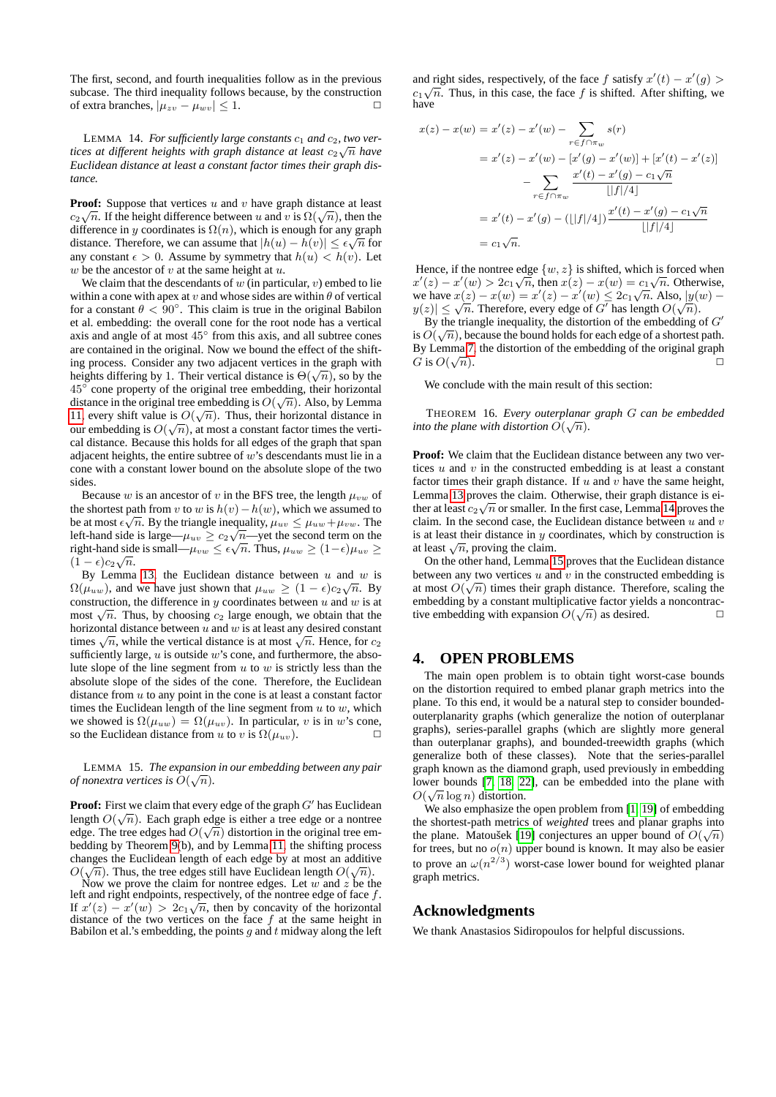The first, second, and fourth inequalities follow as in the previous subcase. The third inequality follows because, by the construction of extra branches,  $|\mu_{zv} - \mu_{wv}| \leq 1$ .

<span id="page-8-0"></span>LEMMA 14. *For sufficiently large constants*  $c_1$  *and*  $c_2$ *, two ver*tices at different heights with graph distance at least  $c_2\sqrt{n}$  have *Euclidean distance at least a constant factor times their graph distance.*

**Proof:** Suppose that vertices u and v have graph distance at least **Proof:** Suppose that vertices u and v have graph distance at least  $c_2\sqrt{n}$ . If the height difference between u and v is  $\Omega(\sqrt{n})$ , then the difference in y coordinates is  $\Omega(n)$ , which is enough for any graph distance. Therefore, we can assume that  $|h(u) - h(v)| \le \epsilon \sqrt{n}$  for any constant  $\epsilon > 0$ . Assume by symmetry that  $h(u) < h(v)$ . Let  $w$  be the ancestor of  $v$  at the same height at  $u$ .

We claim that the descendants of  $w$  (in particular,  $v$ ) embed to lie within a cone with apex at v and whose sides are within  $\theta$  of vertical for a constant  $\theta < 90^\circ$ . This claim is true in the original Babilon et al. embedding: the overall cone for the root node has a vertical axis and angle of at most 45◦ from this axis, and all subtree cones are contained in the original. Now we bound the effect of the shifting process. Consider any two adjacent vertices in the graph with ing process. Consider any two adjacent vertices in the graph with heights differing by 1. Their vertical distance is  $\Theta(\sqrt{n})$ , so by the  $45^\circ$  cone property of the original tree embedding, their horizontal distance in the original tree embedding is  $O(\sqrt{n})$ . Also, by Lemma [11,](#page-6-2) every shift value is  $O(\sqrt{n})$ . Thus, their horizontal distance in our embedding is  $O(\sqrt{n})$ , at most a constant factor times the vertical distance. Because this holds for all edges of the graph that span adjacent heights, the entire subtree of  $w$ 's descendants must lie in a cone with a constant lower bound on the absolute slope of the two sides.

Because w is an ancestor of v in the BFS tree, the length  $\mu_{vw}$  of the shortest path from v to w is  $h(v) - h(w)$ , which we assumed to be at most  $\epsilon \sqrt{n}$ . By the triangle inequality,  $\mu_{uv} \leq \mu_{uw} + \mu_{vw}$ . The left-hand side is large— $\mu_{uv} \geq c_2 \sqrt{n}$ —yet the second term on the right-hand side is small— $\mu_{vw} \leq \epsilon \sqrt{n}$ . Thus,  $\mu_{uw} \geq (1 - \epsilon) \mu_{uv} \geq$  $(1-\epsilon)c_2\sqrt{n}.$ 

By Lemma [13,](#page-7-0) the Euclidean distance between u and w is  $\Omega(\mu_{uw})$ , and we have just shown that  $\mu_{uw} \ge (1 - \epsilon)c_2 \sqrt{n}$ . By construction, the difference in  $y$  coordinates between  $u$  and  $w$  is at construction, the difference in y coordinates between u and w is at most  $\sqrt{n}$ . Thus, by choosing  $c_2$  large enough, we obtain that the horizontal distance between  $u$  and  $w$  is at least any desired constant filmes  $\sqrt{n}$ , while the vertical distance is at most  $\sqrt{n}$ . Hence, for  $c_2$ sufficiently large,  $u$  is outside  $w$ 's cone, and furthermore, the absolute slope of the line segment from  $u$  to  $w$  is strictly less than the absolute slope of the sides of the cone. Therefore, the Euclidean distance from  $u$  to any point in the cone is at least a constant factor times the Euclidean length of the line segment from  $u$  to  $w$ , which we showed is  $\Omega(\mu_{uw}) = \Omega(\mu_{uv})$ . In particular, v is in w's cone, so the Euclidean distance from u to v is  $\Omega(\mu_{uv})$ .

<span id="page-8-1"></span>LEMMA 15. *The expansion in our embedding between any pair* √ *of nonextra vertices is*  $O(\sqrt{n})$ *.* 

**Proof:** First we claim that every edge of the graph  $G'$  has Euclidean length  $O(\sqrt{n})$ . Each graph edge is either a tree edge or a nontree edge. The tree edges had  $O(\sqrt{n})$  distortion in the original tree embedding by Theorem [9\(](#page-5-2)b), and by Lemma [11,](#page-6-2) the shifting process changes the Euclidean length of each edge by at most an additive  $\Omega(\sqrt{a})$  $O(\sqrt{n})$ . Thus, the tree edges still have Euclidean length  $O(\sqrt{n})$ .

Now we prove the claim for nontree edges. Let  $w$  and  $z$  be the left and right endpoints, respectively, of the nontree edge of face  $f$ . If  $x'(z) - x'(w) > 2c_1\sqrt{n}$ , then by concavity of the horizontal distance of the two vertices on the face  $f$  at the same height in Babilon et al.'s embedding, the points  $g$  and  $t$  midway along the left

and right sides, respectively, of the face f satisfy  $x'(t) - x'(g) >$  $c_1\sqrt{n}$ . Thus, in this case, the face f is shifted. After shifting, we have

$$
x(z) - x(w) = x'(z) - x'(w) - \sum_{r \in f \cap \pi_w} s(r)
$$
  
=  $x'(z) - x'(w) - [x'(g) - x'(w)] + [x'(t) - x'(z)]$   
 $- \sum_{r \in f \cap \pi_w} \frac{x'(t) - x'(g) - c_1\sqrt{n}}{||f|/4|}$   
=  $x'(t) - x'(g) - (||f||/4]) \frac{x'(t) - x'(g) - c_1\sqrt{n}}{||f|/4|}$   
=  $c_1\sqrt{n}$ .

Hence, if the nontree edge  $\{w, z\}$  is shifted, which is forced when  $x'(z) - x'(w) > 2c_1\sqrt{n}$ , then  $x(z) - x(w) = c_1\sqrt{n}$ . Otherwise, we have  $x(z) - x(w) = x'(z) - x'(w) \le 2c_1 \sqrt{n}$ . Also,  $|y(w) - y'(w)|$ we have  $x(z) - x(w) = x(z) - x(w) \le 2c_1 \sqrt{n}$ . Also,  $|y|$ <br> $y(z)| \le \sqrt{n}$ . Therefore, every edge of G' has length  $O(\sqrt{n})$ .

By the triangle inequality, the distortion of the embedding of  $G'$ is  $O(\sqrt{n})$ , because the bound holds for each edge of a shortest path. By Lemma [7,](#page-4-2) the distortion of the embedding of the original graph  $\tilde{C}$ G is  $O(\sqrt{n})$ .  $\overline{n}$ ).

We conclude with the main result of this section:

THEOREM 16. *Every outerplanar graph* G *can be embedded* √ *into the plane with distortion*  $O(\sqrt{n})$ *.* 

**Proof:** We claim that the Euclidean distance between any two vertices  $u$  and  $v$  in the constructed embedding is at least a constant factor times their graph distance. If  $u$  and  $v$  have the same height, Lemma [13](#page-7-0) proves the claim. Otherwise, their graph distance is either at least  $c_2\sqrt{n}$  or smaller. In the first case, Lemma [14](#page-8-0) proves the claim. In the second case, the Euclidean distance between  $u$  and  $v$ is at least their distance in  $y$  coordinates, which by construction is is at least their distance in y cost least  $\sqrt{n}$ , proving the claim.

On the other hand, Lemma [15](#page-8-1) proves that the Euclidean distance between any two vertices u and v in the constructed embedding is at most  $O(\sqrt{n})$  times their graph distance. Therefore, scaling the embedding by a constant multiplicative factor yields a noncontractive embedding with expansion  $O(\sqrt{n})$  as desired.  $\Box$ 

#### **4. OPEN PROBLEMS**

The main open problem is to obtain tight worst-case bounds on the distortion required to embed planar graph metrics into the plane. To this end, it would be a natural step to consider boundedouterplanarity graphs (which generalize the notion of outerplanar graphs), series-parallel graphs (which are slightly more general than outerplanar graphs), and bounded-treewidth graphs (which generalize both of these classes). Note that the series-parallel graph known as the diamond graph, used previously in embedding lower bounds [\[7,](#page-9-26) [18,](#page-9-27) [22\]](#page-9-28), can be embedded into the plane with  $O(\sqrt{n}\log n)$  distortion.

We also emphasize the open problem from [\[1,](#page-9-1) [19\]](#page-9-0) of embedding the shortest-path metrics of *weighted* trees and planar graphs into √ the plane. Matoušek [\[19\]](#page-9-0) conjectures an upper bound of  $O(\sqrt{n})$ for trees, but no  $o(n)$  upper bound is known. It may also be easier to prove an  $\omega(n^{2/3})$  worst-case lower bound for weighted planar graph metrics.

#### **Acknowledgments**

We thank Anastasios Sidiropoulos for helpful discussions.